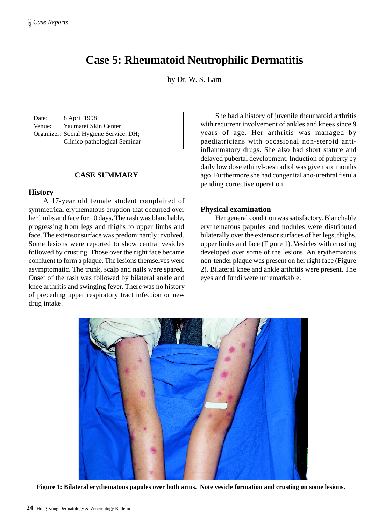# **Case 5: Rheumatoid Neutrophilic Dermatitis**

by Dr. W. S. Lam

Date: 8 April 1998 Venue: Yaumatei Skin Center Organizer: Social Hygiene Service, DH; Clinico-pathological Seminar

# **CASE SUMMARY**

### **History**

A 17-year old female student complained of symmetrical erythematous eruption that occurred over her limbs and face for 10 days. The rash was blanchable, progressing from legs and thighs to upper limbs and face. The extensor surface was predominantly involved. Some lesions were reported to show central vesicles followed by crusting. Those over the right face became confluent to form a plaque. The lesions themselves were asymptomatic. The trunk, scalp and nails were spared. Onset of the rash was followed by bilateral ankle and knee arthritis and swinging fever. There was no history of preceding upper respiratory tract infection or new drug intake.

She had a history of juvenile rheumatoid arthritis with recurrent involvement of ankles and knees since 9 years of age. Her arthritis was managed by paediatricians with occasional non-steroid antiinflammatory drugs. She also had short stature and delayed pubertal development. Induction of puberty by daily low dose ethinyl-oestradiol was given six months ago. Furthermore she had congenital ano-urethral fistula pending corrective operation.

### **Physical examination**

Her general condition was satisfactory. Blanchable erythematous papules and nodules were distributed bilaterally over the extensor surfaces of her legs, thighs, upper limbs and face (Figure 1). Vesicles with crusting developed over some of the lesions. An erythematous non-tender plaque was present on her right face (Figure 2). Bilateral knee and ankle arthritis were present. The eyes and fundi were unremarkable.



**Figure 1: Bilateral erythematous papules over both arms. Note vesicle formation and crusting on some lesions.**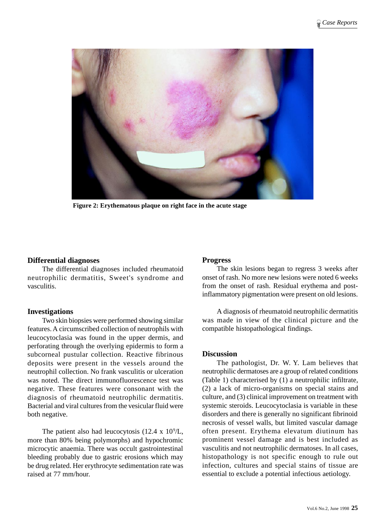

**Figure 2: Erythematous plaque on right face in the acute stage**

# **Differential diagnoses**

The differential diagnoses included rheumatoid neutrophilic dermatitis, Sweet's syndrome and vasculitis.

# **Investigations**

Two skin biopsies were performed showing similar features. A circumscribed collection of neutrophils with leucocytoclasia was found in the upper dermis, and perforating through the overlying epidermis to form a subcorneal pustular collection. Reactive fibrinous deposits were present in the vessels around the neutrophil collection. No frank vasculitis or ulceration was noted. The direct immunofluorescence test was negative. These features were consonant with the diagnosis of rheumatoid neutrophilic dermatitis. Bacterial and viral cultures from the vesicular fluid were both negative.

The patient also had leucocytosis  $(12.4 \times 10^9/\text{L})$ , more than 80% being polymorphs) and hypochromic microcytic anaemia. There was occult gastrointestinal bleeding probably due to gastric erosions which may be drug related. Her erythrocyte sedimentation rate was raised at 77 mm/hour.

# **Progress**

The skin lesions began to regress 3 weeks after onset of rash. No more new lesions were noted 6 weeks from the onset of rash. Residual erythema and postinflammatory pigmentation were present on old lesions.

A diagnosis of rheumatoid neutrophilic dermatitis was made in view of the clinical picture and the compatible histopathological findings.

# **Discussion**

The pathologist, Dr. W. Y. Lam believes that neutrophilic dermatoses are a group of related conditions (Table 1) characterised by (1) a neutrophilic infiltrate, (2) a lack of micro-organisms on special stains and culture, and (3) clinical improvement on treatment with systemic steroids. Leucocytoclasia is variable in these disorders and there is generally no significant fibrinoid necrosis of vessel walls, but limited vascular damage often present. Erythema elevatum diutinum has prominent vessel damage and is best included as vasculitis and not neutrophilic dermatoses. In all cases, histopathology is not specific enough to rule out infection, cultures and special stains of tissue are essential to exclude a potential infectious aetiology.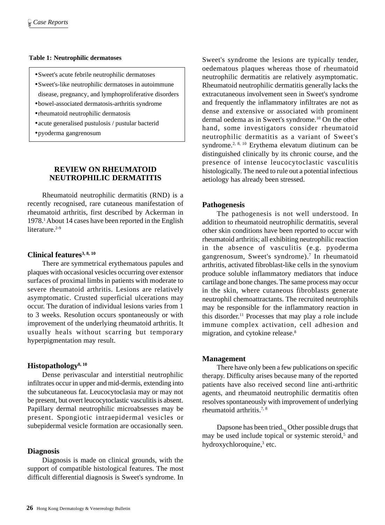### **Table 1: Neutrophilic dermatoses**

- •Sweet's acute febrile neutrophilic dermatoses
- •Sweet's-like neutrophilic dermatoses in autoimmune disease, pregnancy, and lymphoproliferative disorders
- •bowel-associated dermatosis-arthritis syndrome
- •rheumatoid neutrophilic dermatosis
- •acute generalised pustulosis / pustular bacterid
- •pyoderma gangrenosum

# **REVIEW ON RHEUMATOID NEUTROPHILIC DERMATITIS**

Rheumatoid neutrophilic dermatitis (RND) is a recently recognised, rare cutaneous manifestation of rheumatoid arthritis, first described by Ackerman in 1978.1 About 14 cases have been reported in the English literature.<sup>2-9</sup>

# **Clinical features3, 8, 10**

There are symmetrical erythematous papules and plaques with occasional vesicles occurring over extensor surfaces of proximal limbs in patients with moderate to severe rheumatoid arthritis. Lesions are relatively asymptomatic. Crusted superficial ulcerations may occur. The duration of individual lesions varies from 1 to 3 weeks. Resolution occurs spontaneously or with improvement of the underlying rheumatoid arthritis. It usually heals without scarring but temporary hyperpigmentation may result.

# **Histopathology8, 10**

Dense perivascular and interstitial neutrophilic infiltrates occur in upper and mid-dermis, extending into the subcutaneous fat. Leucocytoclasia may or may not be present, but overt leucocytoclastic vasculitis is absent. Papillary dermal neutrophilic microabsesses may be present. Spongiotic intraepidermal vesicles or subepidermal vesicle formation are occasionally seen.

# **Diagnosis**

Diagnosis is made on clinical grounds, with the support of compatible histological features. The most difficult differential diagnosis is Sweet's syndrome. In

Sweet's syndrome the lesions are typically tender, oedematous plaques whereas those of rheumatoid neutrophilic dermatitis are relatively asymptomatic. Rheumatoid neutrophilic dermatitis generally lacks the extracutaneous involvement seen in Sweet's syndrome and frequently the inflammatory infiltrates are not as dense and extensive or associated with prominent dermal oedema as in Sweet's syndrome.10 On the other hand, some investigators consider rheumatoid neutrophilic dermatitis as a variant of Sweet's syndrome.2, 8, 10 Erythema elevatum diutinum can be distinguished clinically by its chronic course, and the presence of intense leucocytoclastic vasculitis histologically. The need to rule out a potential infectious aetiology has already been stressed.

# **Pathogenesis**

The pathogenesis is not well understood. In addition to rheumatoid neutrophilic dermatitis, several other skin conditions have been reported to occur with rheumatoid arthritis; all exhibiting neutrophilic reaction in the absence of vasculitis (e.g. pyoderma gangrenosum, Sweet's syndrome).<sup>7</sup> In rheumatoid arthritis, activated fibroblast-like cells in the synovium produce soluble inflammatory mediators that induce cartilage and bone changes. The same process may occur in the skin, where cutaneous fibroblasts generate neutrophil chemoattractants. The recruited neutrophils may be responsible for the inflammatory reaction in this disorder.11 Processes that may play a role include immune complex activation, cell adhesion and migration, and cytokine release.8

# **Management**

There have only been a few publications on specific therapy. Difficulty arises because many of the reported patients have also received second line anti-arthritic agents, and rheumatoid neutrophilic dermatitis often resolves spontaneously with improvement of underlying rheumatoid arthritis.<sup>7, 8</sup>

Dapsone has been tried. $_{6}$  Other possible drugs that may be used include topical or systemic steroid,<sup>5</sup> and hydroxychloroquine,<sup>3</sup> etc.